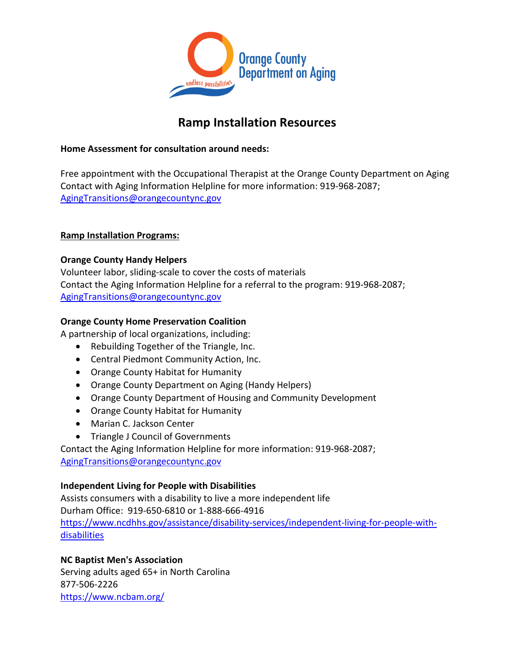

# **Ramp Installation Resources**

# **Home Assessment for consultation around needs:**

Free appointment with the Occupational Therapist at the Orange County Department on Aging Contact with Aging Information Helpline for more information: 919-968-2087; [AgingTransitions@orangecountync.gov](mailto:AgingTransitions@orangecountync.gov)

# **Ramp Installation Programs:**

# **Orange County Handy Helpers**

Volunteer labor, sliding-scale to cover the costs of materials Contact the Aging Information Helpline for a referral to the program: 919-968-2087; [AgingTransitions@orangecountync.gov](mailto:AgingTransitions@orangecountync.gov)

# **Orange County Home Preservation Coalition**

A partnership of local organizations, including:

- Rebuilding Together of the Triangle, Inc.
- Central Piedmont Community Action, Inc.
- Orange County Habitat for Humanity
- Orange County Department on Aging (Handy Helpers)
- Orange County Department of Housing and Community Development
- Orange County Habitat for Humanity
- Marian C. Jackson Center
- Triangle J Council of Governments

Contact the Aging Information Helpline for more information: 919-968-2087; [AgingTransitions@orangecountync.gov](mailto:AgingTransitions@orangecountync.gov)

# **Independent Living for People with Disabilities**

Assists consumers with a disability to live a more independent life Durham Office: 919-650-6810 or 1-888-666-4916 [https://www.ncdhhs.gov/assistance/disability-services/independent-living-for-people-with](https://www.ncdhhs.gov/assistance/disability-services/independent-living-for-people-with-disabilities)**[disabilities](https://www.ncdhhs.gov/assistance/disability-services/independent-living-for-people-with-disabilities)** 

# **NC Baptist Men's Association**

Serving adults aged 65+ in North Carolina 877-506-2226 <https://www.ncbam.org/>